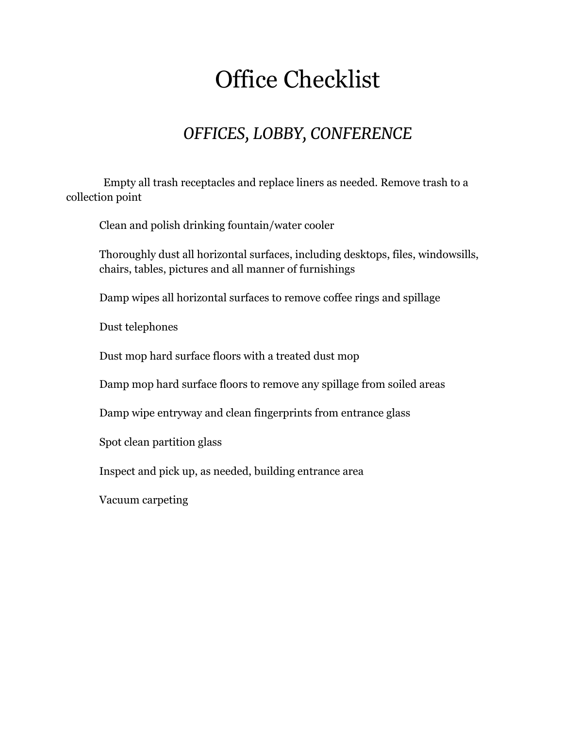# Office Checklist

# *OFFICES, LOBBY, CONFERENCE*

 Empty all trash receptacles and replace liners as needed. Remove trash to a collection point

Clean and polish drinking fountain/water cooler

Thoroughly dust all horizontal surfaces, including desktops, files, windowsills, chairs, tables, pictures and all manner of furnishings

Damp wipes all horizontal surfaces to remove coffee rings and spillage

Dust telephones

Dust mop hard surface floors with a treated dust mop

Damp mop hard surface floors to remove any spillage from soiled areas

Damp wipe entryway and clean fingerprints from entrance glass

Spot clean partition glass

Inspect and pick up, as needed, building entrance area

Vacuum carpeting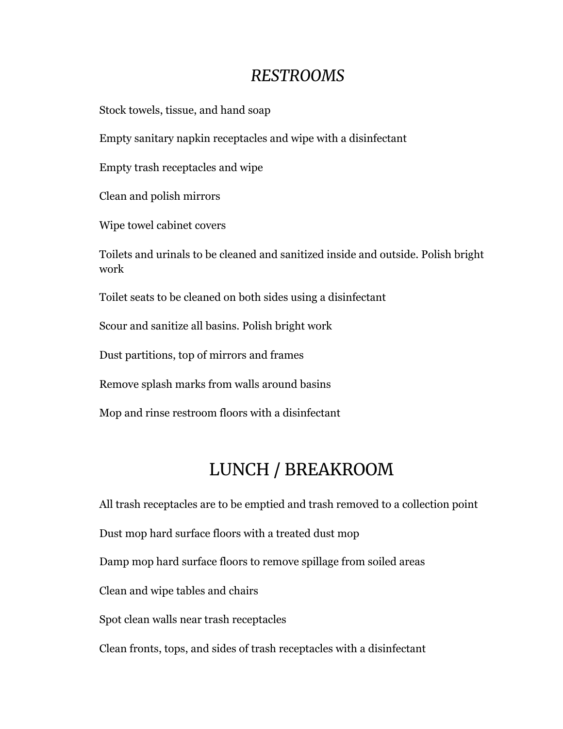#### *RESTROOMS*

Stock towels, tissue, and hand soap

Empty sanitary napkin receptacles and wipe with a disinfectant

Empty trash receptacles and wipe

Clean and polish mirrors

Wipe towel cabinet covers

Toilets and urinals to be cleaned and sanitized inside and outside. Polish bright work

Toilet seats to be cleaned on both sides using a disinfectant

Scour and sanitize all basins. Polish bright work

Dust partitions, top of mirrors and frames

Remove splash marks from walls around basins

Mop and rinse restroom floors with a disinfectant

#### LUNCH / BREAKROOM

All trash receptacles are to be emptied and trash removed to a collection point Dust mop hard surface floors with a treated dust mop Damp mop hard surface floors to remove spillage from soiled areas Clean and wipe tables and chairs Spot clean walls near trash receptacles Clean fronts, tops, and sides of trash receptacles with a disinfectant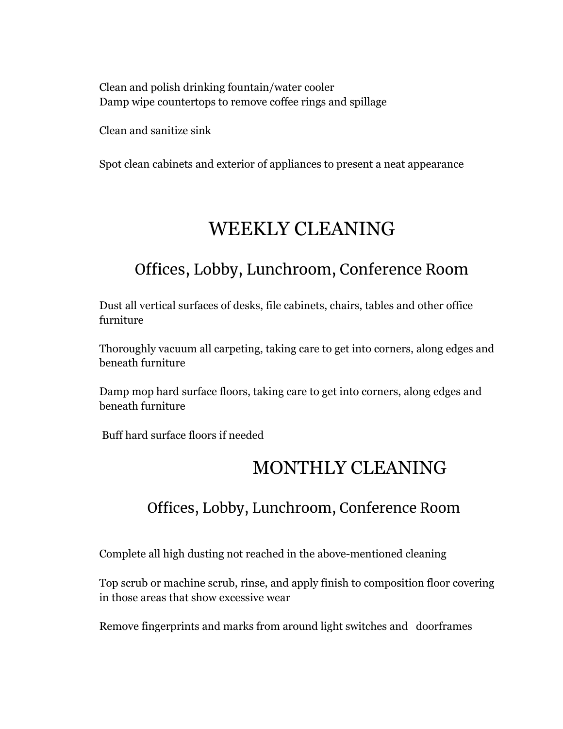Clean and polish drinking fountain/water cooler Damp wipe countertops to remove coffee rings and spillage

Clean and sanitize sink

Spot clean cabinets and exterior of appliances to present a neat appearance

## WEEKLY CLEANING

#### Offices, Lobby, Lunchroom, Conference Room

Dust all vertical surfaces of desks, file cabinets, chairs, tables and other office furniture

Thoroughly vacuum all carpeting, taking care to get into corners, along edges and beneath furniture

Damp mop hard surface floors, taking care to get into corners, along edges and beneath furniture

Buff hard surface floors if needed

## MONTHLY CLEANING

#### Offices, Lobby, Lunchroom, Conference Room

Complete all high dusting not reached in the above-mentioned cleaning

Top scrub or machine scrub, rinse, and apply finish to composition floor covering in those areas that show excessive wear

Remove fingerprints and marks from around light switches and doorframes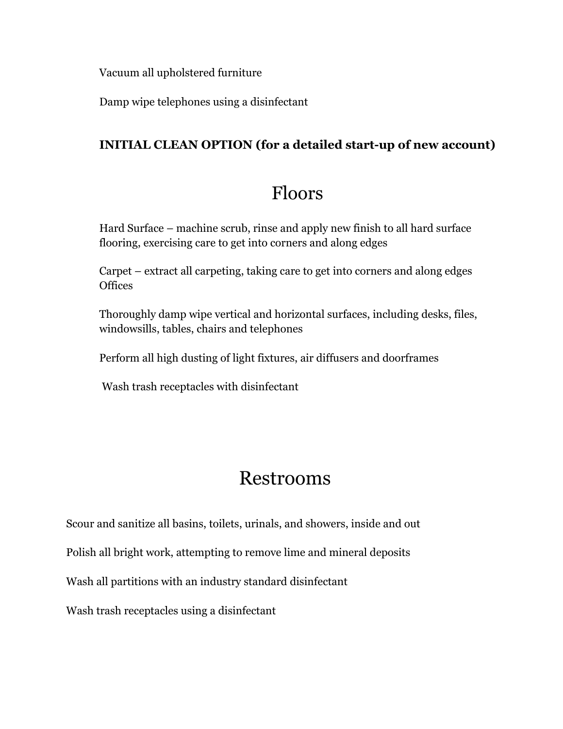Vacuum all upholstered furniture

Damp wipe telephones using a disinfectant

#### **INITIAL CLEAN OPTION (for a detailed start-up of new account)**

#### Floors

Hard Surface – machine scrub, rinse and apply new finish to all hard surface flooring, exercising care to get into corners and along edges

Carpet – extract all carpeting, taking care to get into corners and along edges **Offices** 

Thoroughly damp wipe vertical and horizontal surfaces, including desks, files, windowsills, tables, chairs and telephones

Perform all high dusting of light fixtures, air diffusers and doorframes

Wash trash receptacles with disinfectant

## Restrooms

Scour and sanitize all basins, toilets, urinals, and showers, inside and out

Polish all bright work, attempting to remove lime and mineral deposits

Wash all partitions with an industry standard disinfectant

Wash trash receptacles using a disinfectant